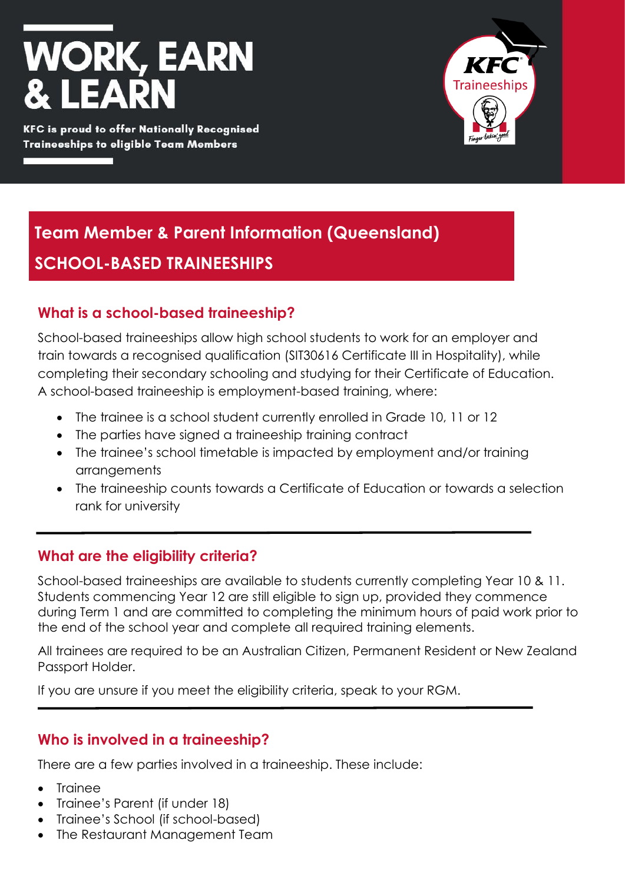# **WORK, EARN** ISA

**KFC is proud to offer Nationally Recognised Traineeships to eligible Team Members** 



## **Team Member & Parent Information (Queensland) SCHOOL-BASED TRAINEESHIPS**

## **What is a school-based traineeship?**

School-based traineeships allow high school students to work for an employer and train towards a recognised qualification (SIT30616 Certificate III in Hospitality), while completing their secondary schooling and studying for their Certificate of Education. A school-based traineeship is employment-based training, where:

- The trainee is a school student currently enrolled in Grade 10, 11 or 12
- The parties have signed a traineeship training contract
- The trainee's school timetable is impacted by employment and/or training arrangements
- The traineeship counts towards a Certificate of Education or towards a selection rank for university

## **What are the eligibility criteria?**

School-based traineeships are available to students currently completing Year 10 & 11. Students commencing Year 12 are still eligible to sign up, provided they commence during Term 1 and are committed to completing the minimum hours of paid work prior to the end of the school year and complete all required training elements.

All trainees are required to be an Australian Citizen, Permanent Resident or New Zealand Passport Holder.

If you are unsure if you meet the eligibility criteria, speak to your RGM.

#### **Who is involved in a traineeship?**

There are a few parties involved in a traineeship. These include:

- Trainee
- Trainee's Parent (if under 18)
- Trainee's School (if school-based)
- The Restaurant Management Team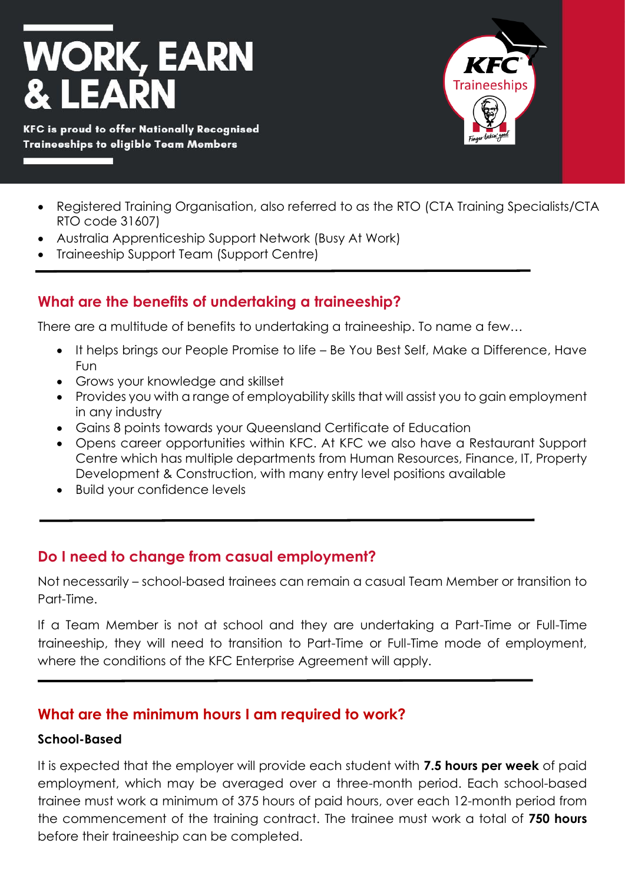

- Registered Training Organisation, also referred to as the RTO (CTA Training Specialists/CTA RTO code 31607)
- Australia Apprenticeship Support Network (Busy At Work)
- Traineeship Support Team (Support Centre)

## **What are the benefits of undertaking a traineeship?**

There are a multitude of benefits to undertaking a traineeship. To name a few…

- It helps brings our People Promise to life Be You Best Self, Make a Difference, Have Fun
- Grows your knowledge and skillset
- Provides you with a range of employability skills that will assist you to gain employment in any industry
- Gains 8 points towards your Queensland Certificate of Education
- Opens career opportunities within KFC. At KFC we also have a Restaurant Support Centre which has multiple departments from Human Resources, Finance, IT, Property Development & Construction, with many entry level positions available
- Build your confidence levels

#### **Do I need to change from casual employment?**

Not necessarily – school-based trainees can remain a casual Team Member or transition to Part-Time.

If a Team Member is not at school and they are undertaking a Part-Time or Full-Time traineeship, they will need to transition to Part-Time or Full-Time mode of employment, where the conditions of the KFC Enterprise Agreement will apply.

#### **What are the minimum hours I am required to work?**

#### **School-Based**

It is expected that the employer will provide each student with **7.5 hours per week** of paid employment, which may be averaged over a three-month period. Each school-based trainee must work a minimum of 375 hours of paid hours, over each 12-month period from the commencement of the training contract. The trainee must work a total of **750 hours** before their traineeship can be completed.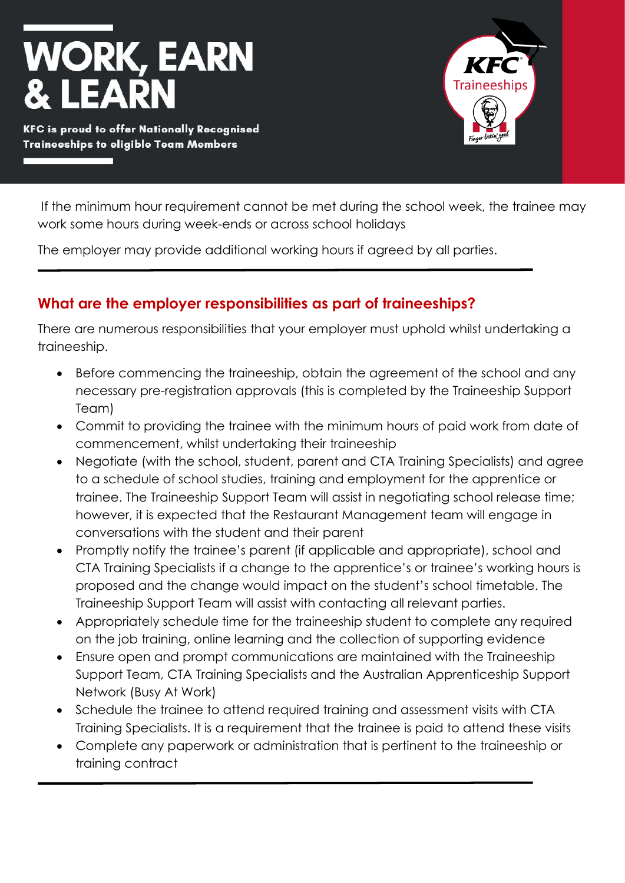# **WORK, EARN** IΕΛ

**KFC is proud to offer Nationally Recognised Traineeships to eligible Team Members** 



If the minimum hour requirement cannot be met during the school week, the trainee may work some hours during week-ends or across school holidays

The employer may provide additional working hours if agreed by all parties.

## **What are the employer responsibilities as part of traineeships?**

There are numerous responsibilities that your employer must uphold whilst undertaking a traineeship.

- Before commencing the traineeship, obtain the agreement of the school and any necessary pre-registration approvals (this is completed by the Traineeship Support Team)
- Commit to providing the trainee with the minimum hours of paid work from date of commencement, whilst undertaking their traineeship
- Negotiate (with the school, student, parent and CTA Training Specialists) and agree to a schedule of school studies, training and employment for the apprentice or trainee. The Traineeship Support Team will assist in negotiating school release time; however, it is expected that the Restaurant Management team will engage in conversations with the student and their parent
- Promptly notify the trainee's parent (if applicable and appropriate), school and CTA Training Specialists if a change to the apprentice's or trainee's working hours is proposed and the change would impact on the student's school timetable. The Traineeship Support Team will assist with contacting all relevant parties.
- Appropriately schedule time for the traineeship student to complete any required on the job training, online learning and the collection of supporting evidence
- Ensure open and prompt communications are maintained with the Traineeship Support Team, CTA Training Specialists and the Australian Apprenticeship Support Network (Busy At Work)
- Schedule the trainee to attend required training and assessment visits with CTA Training Specialists. It is a requirement that the trainee is paid to attend these visits
- Complete any paperwork or administration that is pertinent to the traineeship or training contract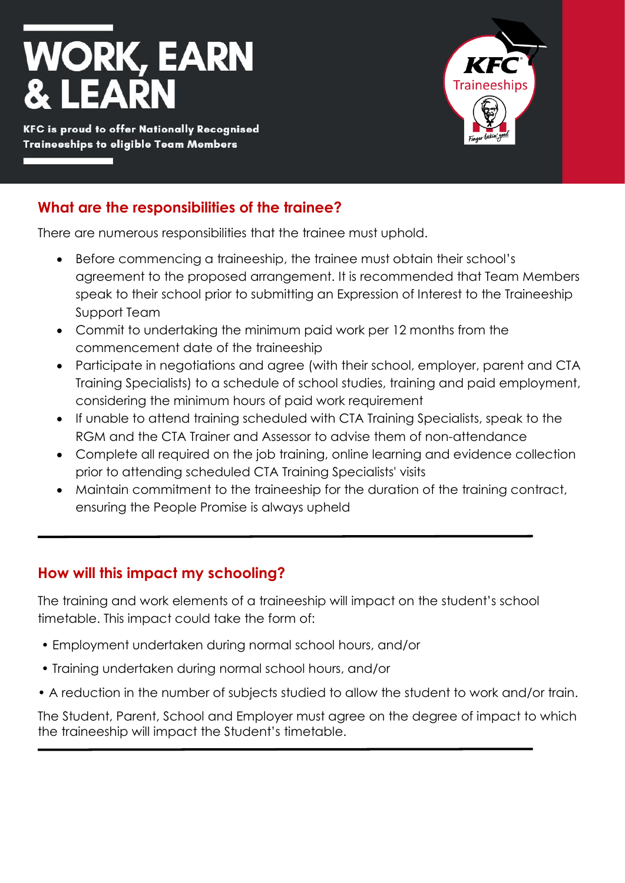# **WORK, EARN** IЕA

**KFC is proud to offer Nationally Recognised Traineeships to eligible Team Members** 



## **What are the responsibilities of the trainee?**

There are numerous responsibilities that the trainee must uphold.

- Before commencing a traineeship, the trainee must obtain their school's agreement to the proposed arrangement. It is recommended that Team Members speak to their school prior to submitting an Expression of Interest to the Traineeship Support Team
- Commit to undertaking the minimum paid work per 12 months from the commencement date of the traineeship
- Participate in negotiations and agree (with their school, employer, parent and CTA Training Specialists) to a schedule of school studies, training and paid employment, considering the minimum hours of paid work requirement
- If unable to attend training scheduled with CTA Training Specialists, speak to the RGM and the CTA Trainer and Assessor to advise them of non-attendance
- Complete all required on the job training, online learning and evidence collection prior to attending scheduled CTA Training Specialists' visits
- Maintain commitment to the traineeship for the duration of the training contract, ensuring the People Promise is always upheld

## **How will this impact my schooling?**

The training and work elements of a traineeship will impact on the student's school timetable. This impact could take the form of:

- Employment undertaken during normal school hours, and/or
- Training undertaken during normal school hours, and/or
- A reduction in the number of subjects studied to allow the student to work and/or train.

The Student, Parent, School and Employer must agree on the degree of impact to which the traineeship will impact the Student's timetable.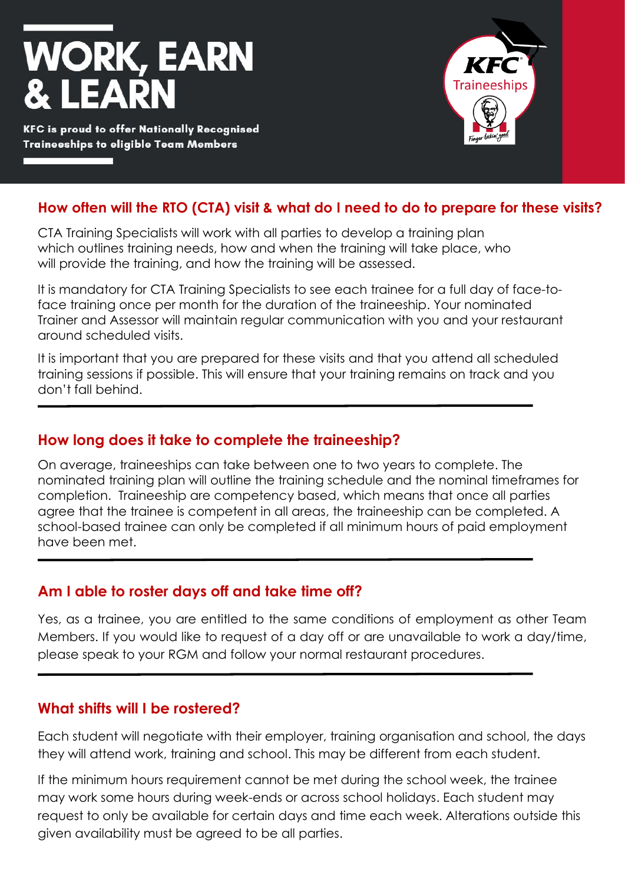

**KFC is proud to offer Nationally Recognised Traineeships to eligible Team Members** 



### **How often will the RTO (CTA) visit & what do I need to do to prepare for these visits?**

CTA Training Specialists will work with all parties to develop a training plan which outlines training needs, how and when the training will take place, who will provide the training, and how the training will be assessed.

It is mandatory for CTA Training Specialists to see each trainee for a full day of face-toface training once per month for the duration of the traineeship. Your nominated Trainer and Assessor will maintain regular communication with you and your restaurant around scheduled visits.

It is important that you are prepared for these visits and that you attend all scheduled training sessions if possible. This will ensure that your training remains on track and you don't fall behind.

#### **How long does it take to complete the traineeship?**

On average, traineeships can take between one to two years to complete. The nominated training plan will outline the training schedule and the nominal timeframes for completion. Traineeship are competency based, which means that once all parties agree that the trainee is competent in all areas, the traineeship can be completed. A school-based trainee can only be completed if all minimum hours of paid employment have been met.

#### **Am I able to roster days off and take time off?**

Yes, as a trainee, you are entitled to the same conditions of employment as other Team Members. If you would like to request of a day off or are unavailable to work a day/time, please speak to your RGM and follow your normal restaurant procedures.

#### **What shifts will I be rostered?**

Each student will negotiate with their employer, training organisation and school, the days they will attend work, training and school. This may be different from each student.

If the minimum hours requirement cannot be met during the school week, the trainee may work some hours during week-ends or across school holidays. Each student may request to only be available for certain days and time each week. Alterations outside this given availability must be agreed to be all parties.